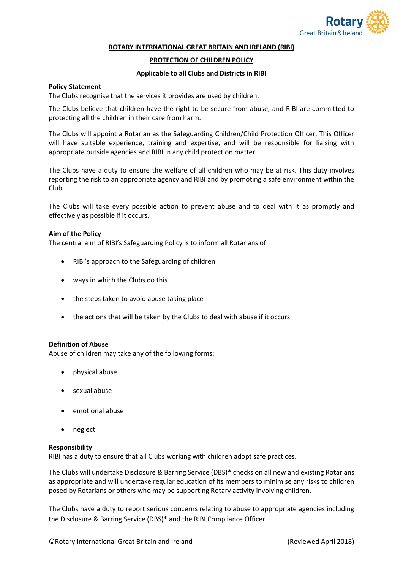

#### **ROTARY INTERNATIONAL GREAT BRITAIN AND IRELAND (RIBI)**

## **PROTECTION OF CHILDREN POLICY**

## **Applicable to all Clubs and Districts in RIBI**

## **Policy Statement**

The Clubs recognise that the services it provides are used by children.

The Clubs believe that children have the right to be secure from abuse, and RIBI are committed to protecting all the children in their care from harm.

The Clubs will appoint a Rotarian as the Safeguarding Children/Child Protection Officer. This Officer will have suitable experience, training and expertise, and will be responsible for liaising with appropriate outside agencies and RIBI in any child protection matter.

The Clubs have a duty to ensure the welfare of all children who may be at risk. This duty involves reporting the risk to an appropriate agency and RIBI and by promoting a safe environment within the Club.

The Clubs will take every possible action to prevent abuse and to deal with it as promptly and effectively as possible if it occurs.

### **Aim of the Policy**

The central aim of RIBI's Safeguarding Policy is to inform all Rotarians of:

- RIBI's approach to the Safeguarding of children
- ways in which the Clubs do this
- the steps taken to avoid abuse taking place
- the actions that will be taken by the Clubs to deal with abuse if it occurs

### **Definition of Abuse**

Abuse of children may take any of the following forms:

- physical abuse
- sexual abuse
- emotional abuse
- neglect

### **Responsibility**

RIBI has a duty to ensure that all Clubs working with children adopt safe practices.

The Clubs will undertake Disclosure & Barring Service (DBS)\* checks on all new and existing Rotarians as appropriate and will undertake regular education of its members to minimise any risks to children posed by Rotarians or others who may be supporting Rotary activity involving children.

The Clubs have a duty to report serious concerns relating to abuse to appropriate agencies including the Disclosure & Barring Service (DBS)\* and the RIBI Compliance Officer.